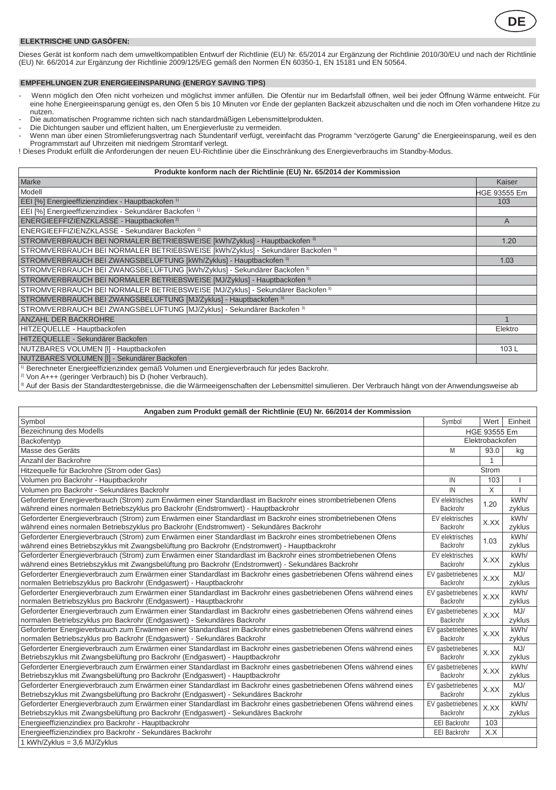

## **ELEKTRISCHE UND GASÖFEN:**

Dieses Gerat ist konform nach dem umweltkompatiblen Entwurf der Richtlinie (EU) Nr. 65/2014 zur Erganzung der Richtlinie 2010/30/EU und nach der Richtlinie<br>(EU) Nr. 66/2014 zur Ergänzung der Richtlinie 2009/125/EG gemäß de

## **EMPFEHLUNGEN ZUR ENERGIEEINSPARUNG (ENERGY SAVING TIPS)**

- Wenn möglich den Ofen nicht vorheizen und möglichst immer anfüllen. Die Ofentür nur im Bedarfsfall öffnen, weil bei jeder Offnung Wärme entweicht. Für<br>eine hohe Energieeinsparung genügt es, den Ofen 5 bis 10 Minuten vor En
- 
- 
- nutzen.<br>- Die automatischen Programme richten sich nach standardmäßigen Lebensmittelprodukten.<br>- Die Dichtungen sauber und effizient halten, um Energieverluste zu vermeiden.<br>- Wenn man über einen Stromlieferungsvertrag nac Programmstart auf Uhrzeiten mit niedrigem Stromtarif verlegt.

! Dieses Produkt erfüllt die Anforderungen der neuen EU-Richtlinie über die Einschränkung des Energieverbrauchs im Standby-Modus.

| Produkte konform nach der Richtlinie (EU) Nr. 65/2014 der Kommission                                                                                                           |                     |  |
|--------------------------------------------------------------------------------------------------------------------------------------------------------------------------------|---------------------|--|
| Marke                                                                                                                                                                          | Kaiser              |  |
| Modell                                                                                                                                                                         | <b>HGE 93555 Em</b> |  |
| EEI [%] Energieeffizienzindiex - Hauptbackofen <sup>1)</sup>                                                                                                                   | 103                 |  |
| EEI [%] Energieeffizienzindiex - Sekundärer Backofen <sup>1)</sup>                                                                                                             |                     |  |
| ENERGIEEFFIZIENZKLASSE - Hauptbackofen <sup>2)</sup>                                                                                                                           | A                   |  |
| ENERGIEEFFIZIENZKLASSE - Sekundärer Backofen 2)                                                                                                                                |                     |  |
| STROMVERBRAUCH BEI NORMALER BETRIEBSWEISE [kWh/Zyklus] - Hauptbackofen 3)                                                                                                      | 1.20                |  |
| STROMVERBRAUCH BEI NORMALER BETRIEBSWEISE [kWh/Zyklus] - Sekundärer Backofen 3)                                                                                                |                     |  |
| STROMVERBRAUCH BEI ZWANGSBELÜFTUNG [kWh/Zyklus] - Hauptbackofen 3)                                                                                                             | 1.03                |  |
| STROMVERBRAUCH BEI ZWANGSBELÜFTUNG IkWh/Zvklus1 - Sekundärer Backofen <sup>3)</sup>                                                                                            |                     |  |
| STROMVERBRAUCH BEI NORMALER BETRIEBSWEISE [MJ/Zyklus] - Hauptbackofen 3)                                                                                                       |                     |  |
| STROMVERBRAUCH BEI NORMALER BETRIEBSWEISE [MJ/Zyklus] - Sekundärer Backofen 3)                                                                                                 |                     |  |
| STROMVERBRAUCH BEI ZWANGSBELÜFTUNG [MJ/Zyklus] - Hauptbackofen 3)                                                                                                              |                     |  |
| STROMVERBRAUCH BEI ZWANGSBELÜFTUNG [MJ/Zyklus] - Sekundärer Backofen 3)                                                                                                        |                     |  |
| ANZAHL DER BACKROHRE                                                                                                                                                           |                     |  |
| HITZEQUELLE - Hauptbackofen                                                                                                                                                    | Elektro             |  |
| HITZEQUELLE - Sekundärer Backofen                                                                                                                                              |                     |  |
| NUTZBARES VOLUMEN [I] - Hauptbackofen                                                                                                                                          | 103L                |  |
| NUTZBARES VOLUMEN [I] - Sekundärer Backofen                                                                                                                                    |                     |  |
| <sup>1)</sup> Berechneter Energieeffizienzindex gemäß Volumen und Energieverbrauch für jedes Backrohr.<br><sup>2)</sup> Von A+++ (geringer Verbrauch) bis D (hoher Verbrauch). |                     |  |

3) Auf der Basis der Standardtestergebnisse, die die Wärmeeigenschaften der Lebensmittel simulieren. Der Verbrauch hängt von der Anwendungsweise ab

| Angaben zum Produkt gemäß der Richtlinie (EU) Nr. 66/2014 der Kommission                                          |                     |              |         |
|-------------------------------------------------------------------------------------------------------------------|---------------------|--------------|---------|
| Symbol                                                                                                            | Symbol              | Wert         | Einheit |
| Bezeichnung des Modells                                                                                           |                     | HGE 93555 Em |         |
| Backofentyp                                                                                                       | Elektrobackofen     |              |         |
| Masse des Geräts                                                                                                  | M                   | 93.0         | kg      |
| Anzahl der Backrohre                                                                                              |                     | 1            |         |
| Hitzequelle für Backrohre (Strom oder Gas)                                                                        |                     | Strom        |         |
| Volumen pro Backrohr - Hauptbackrohr                                                                              | IN                  | 103          |         |
| Volumen pro Backrohr - Sekundäres Backrohr                                                                        | IN                  | X            |         |
| Geforderter Energieverbrauch (Strom) zum Erwärmen einer Standardlast im Backrohr eines strombetriebenen Ofens     | EV elektrisches     | 1.20         | kWh/    |
| während eines normalen Betriebszyklus pro Backrohr (Endstromwert) - Hauptbackrohr                                 | Backrohr            |              | zvklus  |
| Geforderter Energieverbrauch (Strom) zum Erwärmen einer Standardlast im Backrohr eines strombetriebenen Ofens     | EV elektrisches     | X.XX         | kWh/    |
| während eines normalen Betriebszyklus pro Backrohr (Endstromwert) - Sekundäres Backrohr                           | Backrohr            |              | zyklus  |
| Geforderter Energieverbrauch (Strom) zum Erwärmen einer Standardlast im Backrohr eines strombetriebenen Ofens     | EV elektrisches     | 1.03         | kWh/    |
| während eines Betriebszyklus mit Zwangsbelüftung pro Backrohr (Endstromwert) - Hauptbackrohr                      | Backrohr            |              | zyklus  |
| Geforderter Energieverbrauch (Strom) zum Erwärmen einer Standardlast im Backrohr eines strombetriebenen Ofens     | EV elektrisches     | X.XX         | kWh/    |
| während eines Betriebszyklus mit Zwangsbelüftung pro Backrohr (Endstromwert) - Sekundäres Backrohr                | Backrohr            |              | zyklus  |
| Geforderter Energieverbrauch zum Erwärmen einer Standardlast im Backrohr eines gasbetriebenen Ofens während eines | EV gasbetriebenes   | X.XX         | MJ/     |
| normalen Betriebszyklus pro Backrohr (Endgaswert) - Hauptbackrohr                                                 | Backrohr            |              | zyklus  |
| Geforderter Energieverbrauch zum Erwärmen einer Standardlast im Backrohr eines gasbetriebenen Ofens während eines | EV gasbetriebenes   | X.XX         | kWh/    |
| normalen Betriebszyklus pro Backrohr (Endgaswert) - Hauptbackrohr                                                 | Backrohr            |              | zyklus  |
| Geforderter Energieverbrauch zum Erwärmen einer Standardlast im Backrohr eines gasbetriebenen Ofens während eines | EV gasbetriebenes   | X.XX         | M.I     |
| normalen Betriebszyklus pro Backrohr (Endgaswert) - Sekundäres Backrohr                                           | Backrohr            |              | zyklus  |
| Geforderter Energieverbrauch zum Erwärmen einer Standardlast im Backrohr eines gasbetriebenen Ofens während eines | EV gasbetriebenes   | X.XX         | kWh/    |
| normalen Betriebszyklus pro Backrohr (Endgaswert) - Sekundäres Backrohr                                           | Backrohr            |              | zyklus  |
| Geforderter Energieverbrauch zum Erwärmen einer Standardlast im Backrohr eines gasbetriebenen Ofens während eines | EV gasbetriebenes   | X.XX         | M.I     |
| Betriebszyklus mit Zwangsbelüftung pro Backrohr (Endgaswert) - Hauptbackrohr                                      | Backrohr            |              | zyklus  |
| Geforderter Energieverbrauch zum Erwärmen einer Standardlast im Backrohr eines gasbetriebenen Ofens während eines | EV gasbetriebenes   | X.XX         | kWh/    |
| Betriebszyklus mit Zwangsbelüftung pro Backrohr (Endgaswert) - Hauptbackrohr                                      | Backrohr            |              | zyklus  |
| Geforderter Energieverbrauch zum Erwärmen einer Standardlast im Backrohr eines gasbetriebenen Ofens während eines | EV gasbetriebenes   | X.XX         | MJ/     |
| Betriebszyklus mit Zwangsbelüftung pro Backrohr (Endgaswert) - Sekundäres Backrohr                                | Backrohr            |              | zyklus  |
| Geforderter Energieverbrauch zum Erwärmen einer Standardlast im Backrohr eines gasbetriebenen Ofens während eines | EV gasbetriebenes   | X.XX         | kWh/    |
| Betriebszyklus mit Zwangsbelüftung pro Backrohr (Endgaswert) - Sekundäres Backrohr                                | Backrohr            |              | zyklus  |
| Energieeffizienzindiex pro Backrohr - Hauptbackrohr                                                               | EEI Backrohr        | 103          |         |
| Energieeffizienzindiex pro Backrohr - Sekundäres Backrohr                                                         | <b>EEI Backrohr</b> | X.X          |         |
| 1 kWh/Zvklus = 3.6 MJ/Zvklus                                                                                      |                     |              |         |